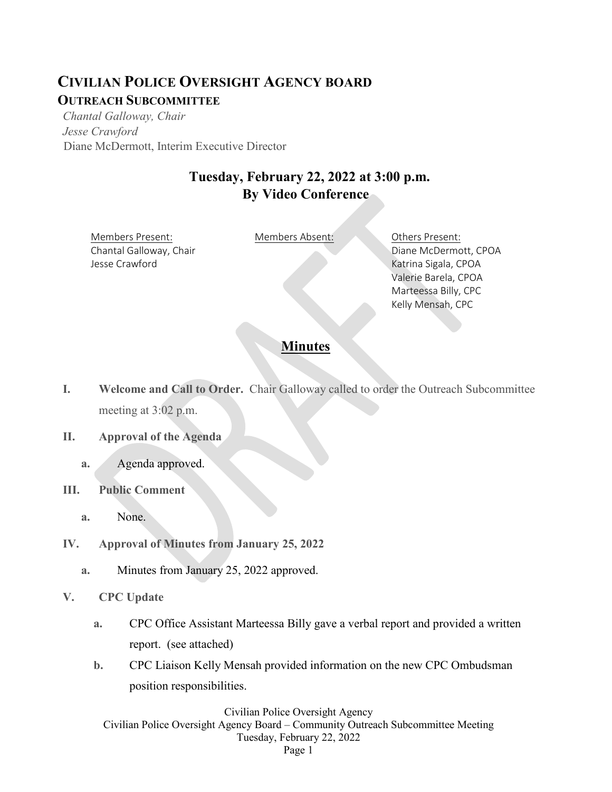## **CIVILIAN POLICE OVERSIGHT AGENCY BOARD OUTREACH SUBCOMMITTEE**

*Chantal Galloway, Chair Jesse Crawford* Diane McDermott, Interim Executive Director

## **Tuesday, February 22, 2022 at 3:00 p.m. By Video Conference**

Members Present: Members Absent: Others Present: Chantal Galloway, Chair Jesse Crawford

Diane McDermott, CPOA Katrina Sigala, CPOA Valerie Barela, CPOA Marteessa Billy, CPC Kelly Mensah, CPC

### **Minutes**

- **I. Welcome and Call to Order.** Chair Galloway called to order the Outreach Subcommittee meeting at 3:02 p.m.
- **II. Approval of the Agenda**
	- **a.** Agenda approved.
- **III. Public Comment** 
	- **a.** None.
- **IV. Approval of Minutes from January 25, 2022**
	- **a.** Minutes from January 25, 2022 approved.
- **V. CPC Update**
	- **a.** CPC Office Assistant Marteessa Billy gave a verbal report and provided a written report. (see attached)
	- **b.** CPC Liaison Kelly Mensah provided information on the new CPC Ombudsman position responsibilities.

Civilian Police Oversight Agency Civilian Police Oversight Agency Board – Community Outreach Subcommittee Meeting Tuesday, February 22, 2022 Page 1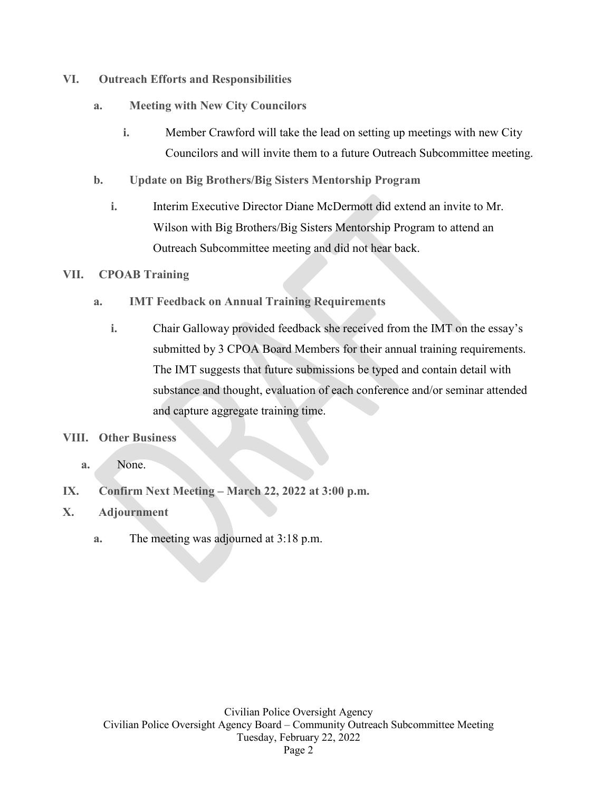- **VI. Outreach Efforts and Responsibilities**
	- **a. Meeting with New City Councilors**
		- **i.** Member Crawford will take the lead on setting up meetings with new City Councilors and will invite them to a future Outreach Subcommittee meeting.
	- **b. Update on Big Brothers/Big Sisters Mentorship Program**
		- **i.** Interim Executive Director Diane McDermott did extend an invite to Mr. Wilson with Big Brothers/Big Sisters Mentorship Program to attend an Outreach Subcommittee meeting and did not hear back.

#### **VII. CPOAB Training**

- **a. IMT Feedback on Annual Training Requirements**
	- **i.** Chair Galloway provided feedback she received from the IMT on the essay's submitted by 3 CPOA Board Members for their annual training requirements. The IMT suggests that future submissions be typed and contain detail with substance and thought, evaluation of each conference and/or seminar attended and capture aggregate training time.

#### **VIII. Other Business**

- **a.** None.
- **IX. Confirm Next Meeting – March 22, 2022 at 3:00 p.m.**
- **X. Adjournment**
	- **a.** The meeting was adjourned at 3:18 p.m.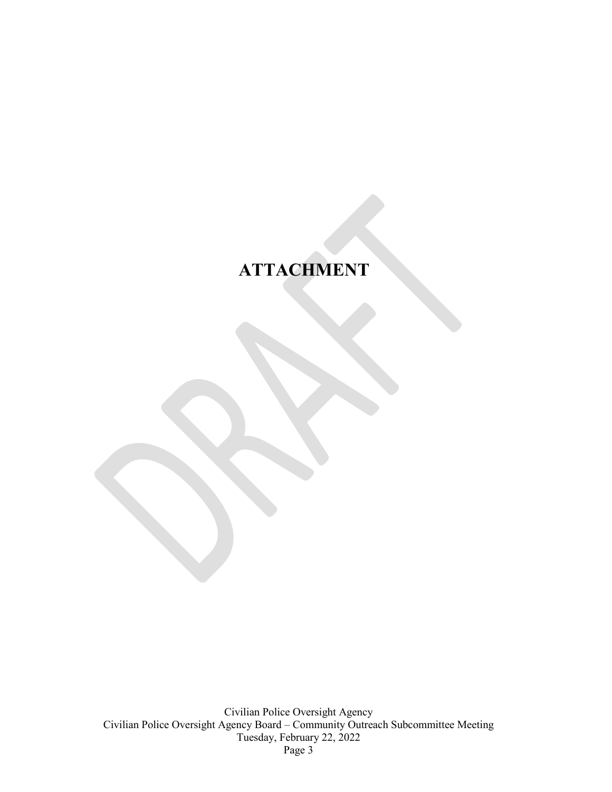# **ATTACHMENT**

Civilian Police Oversight Agency Civilian Police Oversight Agency Board – Community Outreach Subcommittee Meeting Tuesday, February 22, 2022 Page 3